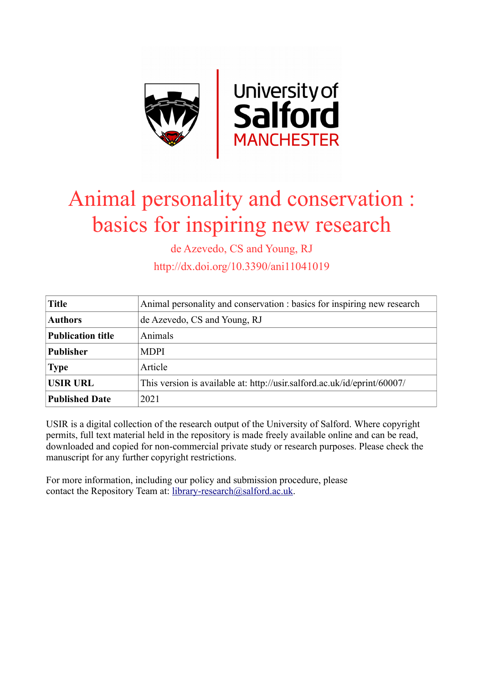

# Animal personality and conservation : basics for inspiring new research

de Azevedo, CS and Young, RJ

http://dx.doi.org/10.3390/ani11041019

| <b>Title</b>             | Animal personality and conservation : basics for inspiring new research  |
|--------------------------|--------------------------------------------------------------------------|
| <b>Authors</b>           | de Azevedo, CS and Young, RJ                                             |
| <b>Publication title</b> | Animals                                                                  |
| <b>Publisher</b>         | <b>MDPI</b>                                                              |
| <b>Type</b>              | Article                                                                  |
| <b>USIR URL</b>          | This version is available at: http://usir.salford.ac.uk/id/eprint/60007/ |
| <b>Published Date</b>    | 2021                                                                     |

USIR is a digital collection of the research output of the University of Salford. Where copyright permits, full text material held in the repository is made freely available online and can be read, downloaded and copied for non-commercial private study or research purposes. Please check the manuscript for any further copyright restrictions.

For more information, including our policy and submission procedure, please contact the Repository Team at: [library-research@salford.ac.uk.](mailto:library-research@salford.ac.uk)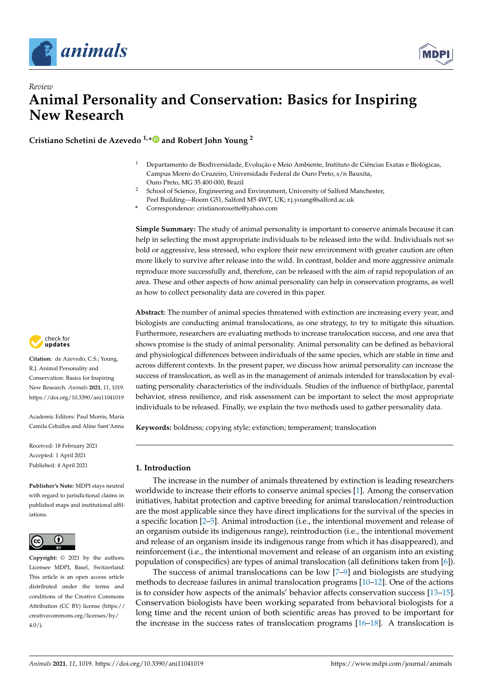

*Review*



# **Animal Personality and Conservation: Basics for Inspiring New Research**

**Cristiano Schetini de Azevedo 1,[\\*](https://orcid.org/0000-0003-0256-9017) and Robert John Young <sup>2</sup>**

- <sup>1</sup> Departamento de Biodiversidade, Evolução e Meio Ambiente, Instituto de Ciências Exatas e Biológicas, Campus Morro do Cruzeiro, Universidade Federal de Ouro Preto, s/n Bauxita, Ouro Preto, MG 35.400-000, Brazil
- <sup>2</sup> School of Science, Engineering and Environment, University of Salford Manchester, Peel Building—Room G51, Salford M5 4WT, UK; r.j.young@salford.ac.uk
- **\*** Correspondence: cristianoroxette@yahoo.com

**Simple Summary:** The study of animal personality is important to conserve animals because it can help in selecting the most appropriate individuals to be released into the wild. Individuals not so bold or aggressive, less stressed, who explore their new environment with greater caution are often more likely to survive after release into the wild. In contrast, bolder and more aggressive animals reproduce more successfully and, therefore, can be released with the aim of rapid repopulation of an area. These and other aspects of how animal personality can help in conservation programs, as well as how to collect personality data are covered in this paper.

**Abstract:** The number of animal species threatened with extinction are increasing every year, and biologists are conducting animal translocations, as one strategy, to try to mitigate this situation. Furthermore, researchers are evaluating methods to increase translocation success, and one area that shows promise is the study of animal personality. Animal personality can be defined as behavioral and physiological differences between individuals of the same species, which are stable in time and across different contexts. In the present paper, we discuss how animal personality can increase the success of translocation, as well as in the management of animals intended for translocation by evaluating personality characteristics of the individuals. Studies of the influence of birthplace, parental behavior, stress resilience, and risk assessment can be important to select the most appropriate individuals to be released. Finally, we explain the two methods used to gather personality data.

**Keywords:** boldness; copying style; extinction; temperament; translocation

# **1. Introduction**

The increase in the number of animals threatened by extinction is leading researchers worldwide to increase their efforts to conserve animal species [\[1\]](#page-8-0). Among the conservation initiatives, habitat protection and captive breeding for animal translocation/reintroduction are the most applicable since they have direct implications for the survival of the species in a specific location [\[2](#page-8-1)[–5\]](#page-8-2). Animal introduction (i.e., the intentional movement and release of an organism outside its indigenous range), reintroduction (i.e., the intentional movement and release of an organism inside its indigenous range from which it has disappeared), and reinforcement (i.e., the intentional movement and release of an organism into an existing population of conspecifics) are types of animal translocation (all definitions taken from [\[6\]](#page-8-3)).

The success of animal translocations can be low [\[7–](#page-8-4)[9\]](#page-8-5) and biologists are studying methods to decrease failures in animal translocation programs [\[10](#page-8-6)[–12\]](#page-8-7). One of the actions is to consider how aspects of the animals' behavior affects conservation success [\[13](#page-8-8)[–15\]](#page-8-9). Conservation biologists have been working separated from behavioral biologists for a long time and the recent union of both scientific areas has proved to be important for the increase in the success rates of translocation programs [\[16](#page-8-10)[–18\]](#page-8-11). A translocation is



**Citation:** de Azevedo, C.S.; Young, R.J. Animal Personality and Conservation: Basics for Inspiring New Research. *Animals* **2021**, *11*, 1019. <https://doi.org/10.3390/ani11041019>

Academic Editors: Paul Morris, Maria Camila Ceballos and Aline Sant'Anna

Received: 18 February 2021 Accepted: 1 April 2021 Published: 4 April 2021

**Publisher's Note:** MDPI stays neutral with regard to jurisdictional claims in published maps and institutional affiliations.



**Copyright:** © 2021 by the authors. Licensee MDPI, Basel, Switzerland. This article is an open access article distributed under the terms and conditions of the Creative Commons Attribution (CC BY) license (https:/[/](https://creativecommons.org/licenses/by/4.0/) [creativecommons.org/licenses/by/](https://creativecommons.org/licenses/by/4.0/)  $4.0/$ ).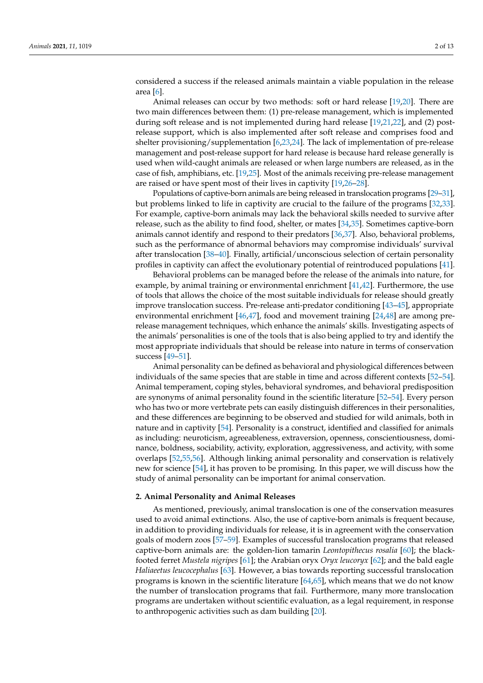considered a success if the released animals maintain a viable population in the release area [\[6\]](#page-8-3).

Animal releases can occur by two methods: soft or hard release [\[19,](#page-8-12)[20\]](#page-8-13). There are two main differences between them: (1) pre-release management, which is implemented during soft release and is not implemented during hard release [\[19,](#page-8-12)[21,](#page-9-0)[22\]](#page-9-1), and (2) postrelease support, which is also implemented after soft release and comprises food and shelter provisioning/supplementation [\[6,](#page-8-3)[23](#page-9-2)[,24\]](#page-9-3). The lack of implementation of pre-release management and post-release support for hard release is because hard release generally is used when wild-caught animals are released or when large numbers are released, as in the case of fish, amphibians, etc. [\[19,](#page-8-12)[25\]](#page-9-4). Most of the animals receiving pre-release management are raised or have spent most of their lives in captivity [\[19,](#page-8-12)[26](#page-9-5)[–28\]](#page-9-6).

Populations of captive-born animals are being released in translocation programs [\[29](#page-9-7)[–31\]](#page-9-8), but problems linked to life in captivity are crucial to the failure of the programs [\[32,](#page-9-9)[33\]](#page-9-10). For example, captive-born animals may lack the behavioral skills needed to survive after release, such as the ability to find food, shelter, or mates [\[34](#page-9-11)[,35\]](#page-9-12). Sometimes captive-born animals cannot identify and respond to their predators [\[36](#page-9-13)[,37\]](#page-9-14). Also, behavioral problems, such as the performance of abnormal behaviors may compromise individuals' survival after translocation [\[38](#page-9-15)[–40\]](#page-9-16). Finally, artificial/unconscious selection of certain personality profiles in captivity can affect the evolutionary potential of reintroduced populations [\[41\]](#page-9-17).

Behavioral problems can be managed before the release of the animals into nature, for example, by animal training or environmental enrichment [\[41,](#page-9-17)[42\]](#page-9-18). Furthermore, the use of tools that allows the choice of the most suitable individuals for release should greatly improve translocation success. Pre-release anti-predator conditioning [\[43–](#page-9-19)[45\]](#page-9-20), appropriate environmental enrichment [\[46](#page-9-21)[,47\]](#page-9-22), food and movement training [\[24](#page-9-3)[,48\]](#page-9-23) are among prerelease management techniques, which enhance the animals' skills. Investigating aspects of the animals' personalities is one of the tools that is also being applied to try and identify the most appropriate individuals that should be release into nature in terms of conservation success [\[49](#page-9-24)[–51\]](#page-10-0).

Animal personality can be defined as behavioral and physiological differences between individuals of the same species that are stable in time and across different contexts [\[52](#page-10-1)[–54\]](#page-10-2). Animal temperament, coping styles, behavioral syndromes, and behavioral predisposition are synonyms of animal personality found in the scientific literature [\[52–](#page-10-1)[54\]](#page-10-2). Every person who has two or more vertebrate pets can easily distinguish differences in their personalities, and these differences are beginning to be observed and studied for wild animals, both in nature and in captivity [\[54\]](#page-10-2). Personality is a construct, identified and classified for animals as including: neuroticism, agreeableness, extraversion, openness, conscientiousness, dominance, boldness, sociability, activity, exploration, aggressiveness, and activity, with some overlaps [\[52,](#page-10-1)[55,](#page-10-3)[56\]](#page-10-4). Although linking animal personality and conservation is relatively new for science [\[54\]](#page-10-2), it has proven to be promising. In this paper, we will discuss how the study of animal personality can be important for animal conservation.

#### **2. Animal Personality and Animal Releases**

As mentioned, previously, animal translocation is one of the conservation measures used to avoid animal extinctions. Also, the use of captive-born animals is frequent because, in addition to providing individuals for release, it is in agreement with the conservation goals of modern zoos [\[57](#page-10-5)[–59\]](#page-10-6). Examples of successful translocation programs that released captive-born animals are: the golden-lion tamarin *Leontopithecus rosalia* [\[60\]](#page-10-7); the blackfooted ferret *Mustela nigripes* [\[61\]](#page-10-8); the Arabian oryx *Oryx leucoryx* [\[62\]](#page-10-9); and the bald eagle *Haliaeetus leucocephalus* [\[63\]](#page-10-10). However, a bias towards reporting successful translocation programs is known in the scientific literature [\[64](#page-10-11)[,65\]](#page-10-12), which means that we do not know the number of translocation programs that fail. Furthermore, many more translocation programs are undertaken without scientific evaluation, as a legal requirement, in response to anthropogenic activities such as dam building [\[20\]](#page-8-13).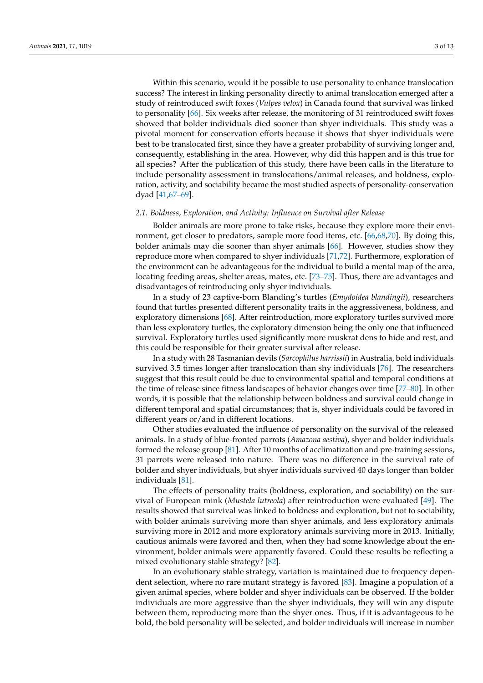Within this scenario, would it be possible to use personality to enhance translocation success? The interest in linking personality directly to animal translocation emerged after a study of reintroduced swift foxes (*Vulpes velox*) in Canada found that survival was linked to personality [\[66\]](#page-10-13). Six weeks after release, the monitoring of 31 reintroduced swift foxes showed that bolder individuals died sooner than shyer individuals. This study was a pivotal moment for conservation efforts because it shows that shyer individuals were best to be translocated first, since they have a greater probability of surviving longer and, consequently, establishing in the area. However, why did this happen and is this true for all species? After the publication of this study, there have been calls in the literature to include personality assessment in translocations/animal releases, and boldness, exploration, activity, and sociability became the most studied aspects of personality-conservation dyad [\[41,](#page-9-17)[67](#page-10-14)[–69\]](#page-10-15).

#### *2.1. Boldness, Exploration, and Activity: Influence on Survival after Release*

Bolder animals are more prone to take risks, because they explore more their environment, get closer to predators, sample more food items, etc. [\[66](#page-10-13)[,68](#page-10-16)[,70\]](#page-10-17). By doing this, bolder animals may die sooner than shyer animals [\[66\]](#page-10-13). However, studies show they reproduce more when compared to shyer individuals [\[71,](#page-10-18)[72\]](#page-10-19). Furthermore, exploration of the environment can be advantageous for the individual to build a mental map of the area, locating feeding areas, shelter areas, mates, etc. [\[73](#page-10-20)[–75\]](#page-10-21). Thus, there are advantages and disadvantages of reintroducing only shyer individuals.

In a study of 23 captive-born Blanding's turtles (*Emydoidea blandingii*), researchers found that turtles presented different personality traits in the aggressiveness, boldness, and exploratory dimensions [\[68\]](#page-10-16). After reintroduction, more exploratory turtles survived more than less exploratory turtles, the exploratory dimension being the only one that influenced survival. Exploratory turtles used significantly more muskrat dens to hide and rest, and this could be responsible for their greater survival after release.

In a study with 28 Tasmanian devils (*Sarcophilus harrissii*) in Australia, bold individuals survived 3.5 times longer after translocation than shy individuals [\[76\]](#page-10-22). The researchers suggest that this result could be due to environmental spatial and temporal conditions at the time of release since fitness landscapes of behavior changes over time [\[77](#page-10-23)[–80\]](#page-10-24). In other words, it is possible that the relationship between boldness and survival could change in different temporal and spatial circumstances; that is, shyer individuals could be favored in different years or/and in different locations.

Other studies evaluated the influence of personality on the survival of the released animals. In a study of blue-fronted parrots (*Amazona aestiva*), shyer and bolder individuals formed the release group [\[81\]](#page-10-25). After 10 months of acclimatization and pre-training sessions, 31 parrots were released into nature. There was no difference in the survival rate of bolder and shyer individuals, but shyer individuals survived 40 days longer than bolder individuals [\[81\]](#page-10-25).

The effects of personality traits (boldness, exploration, and sociability) on the survival of European mink (*Mustela lutreola*) after reintroduction were evaluated [\[49\]](#page-9-24). The results showed that survival was linked to boldness and exploration, but not to sociability, with bolder animals surviving more than shyer animals, and less exploratory animals surviving more in 2012 and more exploratory animals surviving more in 2013. Initially, cautious animals were favored and then, when they had some knowledge about the environment, bolder animals were apparently favored. Could these results be reflecting a mixed evolutionary stable strategy? [\[82\]](#page-11-0).

In an evolutionary stable strategy, variation is maintained due to frequency dependent selection, where no rare mutant strategy is favored [\[83\]](#page-11-1). Imagine a population of a given animal species, where bolder and shyer individuals can be observed. If the bolder individuals are more aggressive than the shyer individuals, they will win any dispute between them, reproducing more than the shyer ones. Thus, if it is advantageous to be bold, the bold personality will be selected, and bolder individuals will increase in number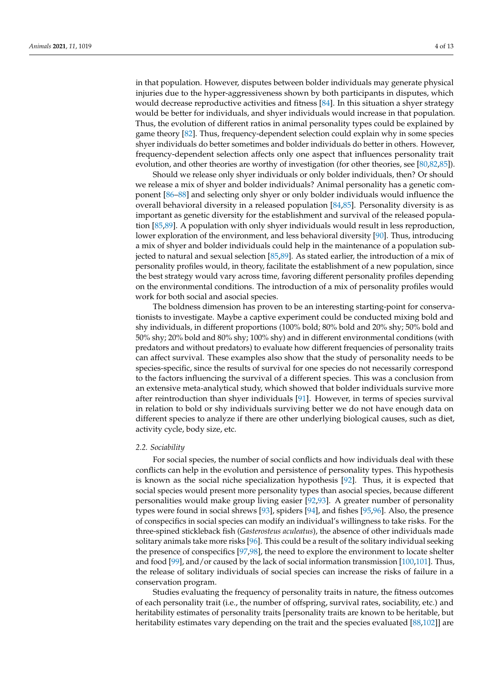in that population. However, disputes between bolder individuals may generate physical injuries due to the hyper-aggressiveness shown by both participants in disputes, which would decrease reproductive activities and fitness [\[84\]](#page-11-2). In this situation a shyer strategy would be better for individuals, and shyer individuals would increase in that population. Thus, the evolution of different ratios in animal personality types could be explained by game theory [\[82\]](#page-11-0). Thus, frequency-dependent selection could explain why in some species shyer individuals do better sometimes and bolder individuals do better in others. However, frequency-dependent selection affects only one aspect that influences personality trait evolution, and other theories are worthy of investigation (for other theories, see [\[80,](#page-10-24)[82,](#page-11-0)[85\]](#page-11-3)).

Should we release only shyer individuals or only bolder individuals, then? Or should we release a mix of shyer and bolder individuals? Animal personality has a genetic component [\[86–](#page-11-4)[88\]](#page-11-5) and selecting only shyer or only bolder individuals would influence the overall behavioral diversity in a released population [\[84](#page-11-2)[,85\]](#page-11-3). Personality diversity is as important as genetic diversity for the establishment and survival of the released population [\[85,](#page-11-3)[89\]](#page-11-6). A population with only shyer individuals would result in less reproduction, lower exploration of the environment, and less behavioral diversity [\[90\]](#page-11-7). Thus, introducing a mix of shyer and bolder individuals could help in the maintenance of a population subjected to natural and sexual selection [\[85](#page-11-3)[,89\]](#page-11-6). As stated earlier, the introduction of a mix of personality profiles would, in theory, facilitate the establishment of a new population, since the best strategy would vary across time, favoring different personality profiles depending on the environmental conditions. The introduction of a mix of personality profiles would work for both social and asocial species.

The boldness dimension has proven to be an interesting starting-point for conservationists to investigate. Maybe a captive experiment could be conducted mixing bold and shy individuals, in different proportions (100% bold; 80% bold and 20% shy; 50% bold and 50% shy; 20% bold and 80% shy; 100% shy) and in different environmental conditions (with predators and without predators) to evaluate how different frequencies of personality traits can affect survival. These examples also show that the study of personality needs to be species-specific, since the results of survival for one species do not necessarily correspond to the factors influencing the survival of a different species. This was a conclusion from an extensive meta-analytical study, which showed that bolder individuals survive more after reintroduction than shyer individuals [\[91\]](#page-11-8). However, in terms of species survival in relation to bold or shy individuals surviving better we do not have enough data on different species to analyze if there are other underlying biological causes, such as diet, activity cycle, body size, etc.

### *2.2. Sociability*

For social species, the number of social conflicts and how individuals deal with these conflicts can help in the evolution and persistence of personality types. This hypothesis is known as the social niche specialization hypothesis [\[92\]](#page-11-9). Thus, it is expected that social species would present more personality types than asocial species, because different personalities would make group living easier [\[92](#page-11-9)[,93\]](#page-11-10). A greater number of personality types were found in social shrews [\[93\]](#page-11-10), spiders [\[94\]](#page-11-11), and fishes [\[95,](#page-11-12)[96\]](#page-11-13). Also, the presence of conspecifics in social species can modify an individual's willingness to take risks. For the three-spined stickleback fish (*Gasterosteus aculeatus*), the absence of other individuals made solitary animals take more risks [\[96\]](#page-11-13). This could be a result of the solitary individual seeking the presence of conspecifics [\[97](#page-11-14)[,98\]](#page-11-15), the need to explore the environment to locate shelter and food [\[99\]](#page-11-16), and/or caused by the lack of social information transmission [\[100](#page-11-17)[,101\]](#page-11-18). Thus, the release of solitary individuals of social species can increase the risks of failure in a conservation program.

Studies evaluating the frequency of personality traits in nature, the fitness outcomes of each personality trait (i.e., the number of offspring, survival rates, sociability, etc.) and heritability estimates of personality traits [personality traits are known to be heritable, but heritability estimates vary depending on the trait and the species evaluated [\[88](#page-11-5)[,102\]](#page-11-19)] are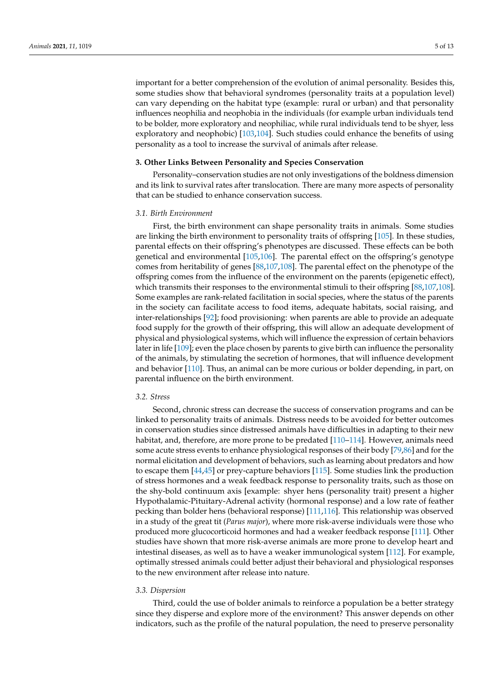important for a better comprehension of the evolution of animal personality. Besides this, some studies show that behavioral syndromes (personality traits at a population level) can vary depending on the habitat type (example: rural or urban) and that personality influences neophilia and neophobia in the individuals (for example urban individuals tend to be bolder, more exploratory and neophiliac, while rural individuals tend to be shyer, less exploratory and neophobic) [\[103,](#page-11-20)[104\]](#page-11-21). Such studies could enhance the benefits of using personality as a tool to increase the survival of animals after release.

#### **3. Other Links Between Personality and Species Conservation**

Personality–conservation studies are not only investigations of the boldness dimension and its link to survival rates after translocation. There are many more aspects of personality that can be studied to enhance conservation success.

#### *3.1. Birth Environment*

First, the birth environment can shape personality traits in animals. Some studies are linking the birth environment to personality traits of offspring [\[105\]](#page-11-22). In these studies, parental effects on their offspring's phenotypes are discussed. These effects can be both genetical and environmental [\[105,](#page-11-22)[106\]](#page-11-23). The parental effect on the offspring's genotype comes from heritability of genes [\[88](#page-11-5)[,107,](#page-11-24)[108\]](#page-11-25). The parental effect on the phenotype of the offspring comes from the influence of the environment on the parents (epigenetic effect), which transmits their responses to the environmental stimuli to their offspring [\[88,](#page-11-5)[107](#page-11-24)[,108\]](#page-11-25). Some examples are rank-related facilitation in social species, where the status of the parents in the society can facilitate access to food items, adequate habitats, social raising, and inter-relationships [\[92\]](#page-11-9); food provisioning: when parents are able to provide an adequate food supply for the growth of their offspring, this will allow an adequate development of physical and physiological systems, which will influence the expression of certain behaviors later in life [\[109\]](#page-11-26); even the place chosen by parents to give birth can influence the personality of the animals, by stimulating the secretion of hormones, that will influence development and behavior [\[110\]](#page-11-27). Thus, an animal can be more curious or bolder depending, in part, on parental influence on the birth environment.

#### *3.2. Stress*

Second, chronic stress can decrease the success of conservation programs and can be linked to personality traits of animals. Distress needs to be avoided for better outcomes in conservation studies since distressed animals have difficulties in adapting to their new habitat, and, therefore, are more prone to be predated [\[110](#page-11-27)[–114\]](#page-12-0). However, animals need some acute stress events to enhance physiological responses of their body [\[79,](#page-10-26)[86\]](#page-11-4) and for the normal elicitation and development of behaviors, such as learning about predators and how to escape them [\[44,](#page-9-25)[45\]](#page-9-20) or prey-capture behaviors [\[115\]](#page-12-1). Some studies link the production of stress hormones and a weak feedback response to personality traits, such as those on the shy-bold continuum axis [example: shyer hens (personality trait) present a higher Hypothalamic-Pituitary-Adrenal activity (hormonal response) and a low rate of feather pecking than bolder hens (behavioral response) [\[111,](#page-11-28)[116\]](#page-12-2). This relationship was observed in a study of the great tit (*Parus major*), where more risk-averse individuals were those who produced more glucocorticoid hormones and had a weaker feedback response [\[111\]](#page-11-28). Other studies have shown that more risk-averse animals are more prone to develop heart and intestinal diseases, as well as to have a weaker immunological system [\[112\]](#page-12-3). For example, optimally stressed animals could better adjust their behavioral and physiological responses to the new environment after release into nature.

#### *3.3. Dispersion*

Third, could the use of bolder animals to reinforce a population be a better strategy since they disperse and explore more of the environment? This answer depends on other indicators, such as the profile of the natural population, the need to preserve personality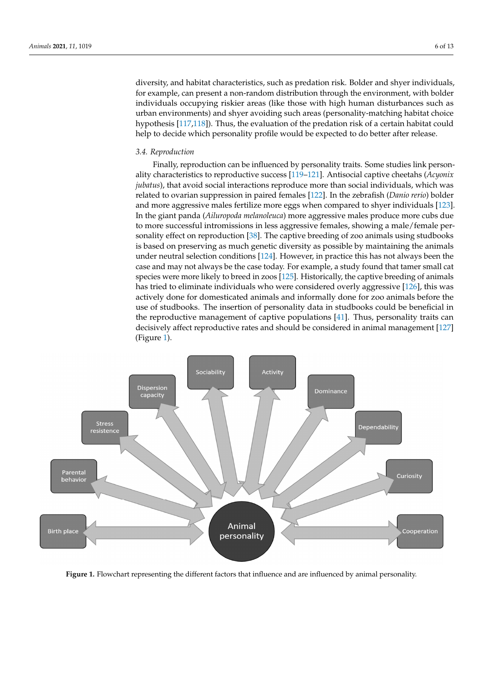diversity, and habitat characteristics, such as predation risk. Bolder and shyer individuals, for example, can present a non-random distribution through the environment, with bolder individuals occupying riskier areas (like those with high human disturbances such as urban environments) and shyer avoiding such areas (personality-matching habitat choice hypothesis [\[117](#page-12-4)[,118\]](#page-12-5)). Thus, the evaluation of the predation risk of a certain habitat could help to decide which personality profile would be expected to do better after release.

#### *3.4. Reproduction*

Finally, reproduction can be influenced by personality traits. Some studies link personality characteristics to reproductive success [\[119](#page-12-6)[–121\]](#page-12-7). Antisocial captive cheetahs (*Acyonix jubatus*), that avoid social interactions reproduce more than social individuals, which was related to ovarian suppression in paired females [\[122\]](#page-12-8). In the zebrafish (*Danio rerio*) bolder and more aggressive males fertilize more eggs when compared to shyer individuals [\[123\]](#page-12-9). In the giant panda (*Ailuropoda melanoleuca*) more aggressive males produce more cubs due to more successful intromissions in less aggressive females, showing a male/female personality effect on reproduction [\[38\]](#page-9-15). The captive breeding of zoo animals using studbooks is based on preserving as much genetic diversity as possible by maintaining the animals under neutral selection conditions [\[124\]](#page-12-10). However, in practice this has not always been the case and may not always be the case today. For example, a study found that tamer small cat species were more likely to breed in zoos [\[125\]](#page-12-11). Historically, the captive breeding of animals has tried to eliminate individuals who were considered overly aggressive [\[126\]](#page-12-12), this was actively done for domesticated animals and informally done for zoo animals before the use of studbooks. The insertion of personality data in studbooks could be beneficial in the reproductive management of captive populations [\[41\]](#page-9-17). Thus, personality traits can decisively affect reproductive rates and should be considered in animal management [\[127\]](#page-12-13) (Figure [1\)](#page-6-0).

<span id="page-6-0"></span>

**Figure 1.** Flowchart representing the different factors that influence and are influenced by animal personality.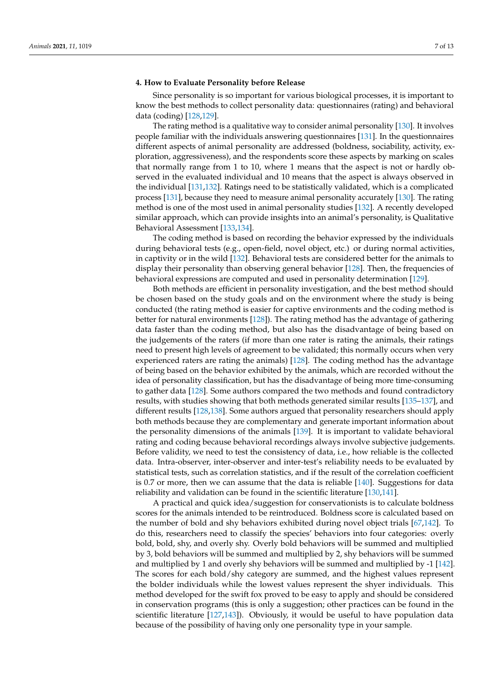# **4. How to Evaluate Personality before Release**

Since personality is so important for various biological processes, it is important to know the best methods to collect personality data: questionnaires (rating) and behavioral data (coding) [\[128,](#page-12-14)[129\]](#page-12-15).

The rating method is a qualitative way to consider animal personality [\[130\]](#page-12-16). It involves people familiar with the individuals answering questionnaires [\[131\]](#page-12-17). In the questionnaires different aspects of animal personality are addressed (boldness, sociability, activity, exploration, aggressiveness), and the respondents score these aspects by marking on scales that normally range from 1 to 10, where 1 means that the aspect is not or hardly observed in the evaluated individual and 10 means that the aspect is always observed in the individual [\[131](#page-12-17)[,132\]](#page-12-18). Ratings need to be statistically validated, which is a complicated process [\[131\]](#page-12-17), because they need to measure animal personality accurately [\[130\]](#page-12-16). The rating method is one of the most used in animal personality studies [\[132\]](#page-12-18). A recently developed similar approach, which can provide insights into an animal's personality, is Qualitative Behavioral Assessment [\[133](#page-12-19)[,134\]](#page-12-20).

The coding method is based on recording the behavior expressed by the individuals during behavioral tests (e.g., open-field, novel object, etc.) or during normal activities, in captivity or in the wild [\[132\]](#page-12-18). Behavioral tests are considered better for the animals to display their personality than observing general behavior [\[128\]](#page-12-14). Then, the frequencies of behavioral expressions are computed and used in personality determination [\[129\]](#page-12-15).

Both methods are efficient in personality investigation, and the best method should be chosen based on the study goals and on the environment where the study is being conducted (the rating method is easier for captive environments and the coding method is better for natural environments [\[128\]](#page-12-14)). The rating method has the advantage of gathering data faster than the coding method, but also has the disadvantage of being based on the judgements of the raters (if more than one rater is rating the animals, their ratings need to present high levels of agreement to be validated; this normally occurs when very experienced raters are rating the animals) [\[128\]](#page-12-14). The coding method has the advantage of being based on the behavior exhibited by the animals, which are recorded without the idea of personality classification, but has the disadvantage of being more time-consuming to gather data [\[128\]](#page-12-14). Some authors compared the two methods and found contradictory results, with studies showing that both methods generated similar results [\[135–](#page-12-21)[137\]](#page-12-22), and different results [\[128](#page-12-14)[,138\]](#page-12-23). Some authors argued that personality researchers should apply both methods because they are complementary and generate important information about the personality dimensions of the animals [\[139\]](#page-12-24). It is important to validate behavioral rating and coding because behavioral recordings always involve subjective judgements. Before validity, we need to test the consistency of data, i.e., how reliable is the collected data. Intra-observer, inter-observer and inter-test's reliability needs to be evaluated by statistical tests, such as correlation statistics, and if the result of the correlation coefficient is 0.7 or more, then we can assume that the data is reliable  $[140]$ . Suggestions for data reliability and validation can be found in the scientific literature [\[130](#page-12-16)[,141\]](#page-13-1).

A practical and quick idea/suggestion for conservationists is to calculate boldness scores for the animals intended to be reintroduced. Boldness score is calculated based on the number of bold and shy behaviors exhibited during novel object trials [\[67,](#page-10-14)[142\]](#page-13-2). To do this, researchers need to classify the species' behaviors into four categories: overly bold, bold, shy, and overly shy. Overly bold behaviors will be summed and multiplied by 3, bold behaviors will be summed and multiplied by 2, shy behaviors will be summed and multiplied by 1 and overly shy behaviors will be summed and multiplied by -1 [\[142\]](#page-13-2). The scores for each bold/shy category are summed, and the highest values represent the bolder individuals while the lowest values represent the shyer individuals. This method developed for the swift fox proved to be easy to apply and should be considered in conservation programs (this is only a suggestion; other practices can be found in the scientific literature [\[127](#page-12-13)[,143\]](#page-13-3)). Obviously, it would be useful to have population data because of the possibility of having only one personality type in your sample.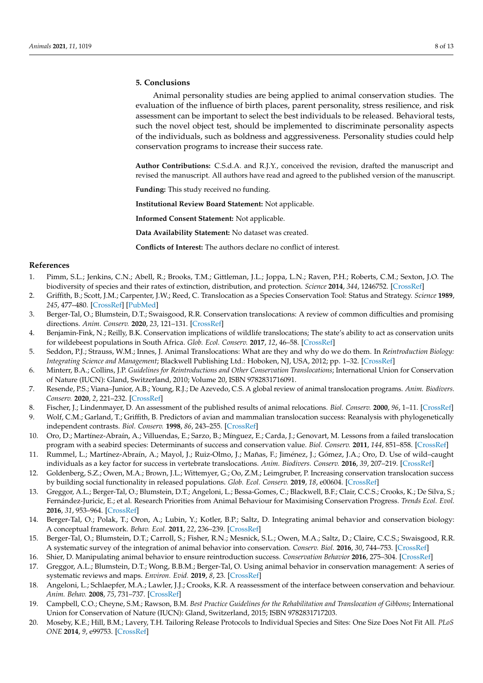# **5. Conclusions**

Animal personality studies are being applied to animal conservation studies. The evaluation of the influence of birth places, parent personality, stress resilience, and risk assessment can be important to select the best individuals to be released. Behavioral tests, such the novel object test, should be implemented to discriminate personality aspects of the individuals, such as boldness and aggressiveness. Personality studies could help conservation programs to increase their success rate.

**Author Contributions:** C.S.d.A. and R.J.Y., conceived the revision, drafted the manuscript and revised the manuscript. All authors have read and agreed to the published version of the manuscript.

**Funding:** This study received no funding.

**Institutional Review Board Statement:** Not applicable.

**Informed Consent Statement:** Not applicable.

**Data Availability Statement:** No dataset was created.

**Conflicts of Interest:** The authors declare no conflict of interest.

# **References**

- <span id="page-8-0"></span>1. Pimm, S.L.; Jenkins, C.N.; Abell, R.; Brooks, T.M.; Gittleman, J.L.; Joppa, L.N.; Raven, P.H.; Roberts, C.M.; Sexton, J.O. The biodiversity of species and their rates of extinction, distribution, and protection. *Science* **2014**, *344*, 1246752. [\[CrossRef\]](http://doi.org/10.1126/science.1246752)
- <span id="page-8-1"></span>2. Griffith, B.; Scott, J.M.; Carpenter, J.W.; Reed, C. Translocation as a Species Conservation Tool: Status and Strategy. *Science* **1989**, *245*, 477–480. [\[CrossRef\]](http://doi.org/10.1126/science.245.4917.477) [\[PubMed\]](http://www.ncbi.nlm.nih.gov/pubmed/17750257)
- 3. Berger-Tal, O.; Blumstein, D.T.; Swaisgood, R.R. Conservation translocations: A review of common difficulties and promising directions. *Anim. Conserv.* **2020**, *23*, 121–131. [\[CrossRef\]](http://doi.org/10.1111/acv.12534)
- 4. Benjamin-Fink, N.; Reilly, B.K. Conservation implications of wildlife translocations; The state's ability to act as conservation units for wildebeest populations in South Africa. *Glob. Ecol. Conserv.* **2017**, *12*, 46–58. [\[CrossRef\]](http://doi.org/10.1016/j.gecco.2017.08.008)
- <span id="page-8-2"></span>5. Seddon, P.J.; Strauss, W.M.; Innes, J. Animal Translocations: What are they and why do we do them. In *Reintroduction Biology: Integrating Science and Management*; Blackwell Publishing Ltd.: Hoboken, NJ, USA, 2012; pp. 1–32. [\[CrossRef\]](http://doi.org/10.1002/9781444355833.ch1)
- <span id="page-8-3"></span>6. Minterr, B.A.; Collins, J.P. *Guidelines for Reintroductions and Other Conservation Translocations*; International Union for Conservation of Nature (IUCN): Gland, Switzerland, 2010; Volume 20, ISBN 9782831716091.
- <span id="page-8-4"></span>7. Resende, P.S.; Viana–Junior, A.B.; Young, R.J.; De Azevedo, C.S. A global review of animal translocation programs. *Anim. Biodivers. Conserv.* **2020**, *2*, 221–232. [\[CrossRef\]](http://doi.org/10.32800/abc.2020.43.0221)
- 8. Fischer, J.; Lindenmayer, D. An assessment of the published results of animal relocations. *Biol. Conserv.* **2000**, *96*, 1–11. [\[CrossRef\]](http://doi.org/10.1016/S0006-3207(00)00048-3)
- <span id="page-8-5"></span>9. Wolf, C.M.; Garland, T.; Griffith, B. Predictors of avian and mammalian translocation success: Reanalysis with phylogenetically independent contrasts. *Biol. Conserv.* **1998**, *86*, 243–255. [\[CrossRef\]](http://doi.org/10.1016/S0006-3207(97)00179-1)
- <span id="page-8-6"></span>10. Oro, D.; Martínez-Abraín, A.; Villuendas, E.; Sarzo, B.; Mínguez, E.; Carda, J.; Genovart, M. Lessons from a failed translocation program with a seabird species: Determinants of success and conservation value. *Biol. Conserv.* **2011**, *144*, 851–858. [\[CrossRef\]](http://doi.org/10.1016/j.biocon.2010.11.018)
- 11. Rummel, L.; Martínez-Abraín, A.; Mayol, J.; Ruiz-Olmo, J.; Mañas, F.; Jiménez, J.; Gómez, J.A.; Oro, D. Use of wild–caught individuals as a key factor for success in vertebrate translocations. *Anim. Biodivers. Conserv.* **2016**, *39*, 207–219. [\[CrossRef\]](http://doi.org/10.32800/abc.2016.39.0207)
- <span id="page-8-7"></span>12. Goldenberg, S.Z.; Owen, M.A.; Brown, J.L.; Wittemyer, G.; Oo, Z.M.; Leimgruber, P. Increasing conservation translocation success by building social functionality in released populations. *Glob. Ecol. Conserv.* **2019**, *18*, e00604. [\[CrossRef\]](http://doi.org/10.1016/j.gecco.2019.e00604)
- <span id="page-8-8"></span>13. Greggor, A.L.; Berger-Tal, O.; Blumstein, D.T.; Angeloni, L.; Bessa-Gomes, C.; Blackwell, B.F.; Clair, C.C.S.; Crooks, K.; De Silva, S.; Fernández-Juricic, E.; et al. Research Priorities from Animal Behaviour for Maximising Conservation Progress. *Trends Ecol. Evol.* **2016**, *31*, 953–964. [\[CrossRef\]](http://doi.org/10.1016/j.tree.2016.09.001)
- 14. Berger-Tal, O.; Polak, T.; Oron, A.; Lubin, Y.; Kotler, B.P.; Saltz, D. Integrating animal behavior and conservation biology: A conceptual framework. *Behav. Ecol.* **2011**, *22*, 236–239. [\[CrossRef\]](http://doi.org/10.1093/beheco/arq224)
- <span id="page-8-9"></span>15. Berger-Tal, O.; Blumstein, D.T.; Carroll, S.; Fisher, R.N.; Mesnick, S.L.; Owen, M.A.; Saltz, D.; Claire, C.C.S.; Swaisgood, R.R. A systematic survey of the integration of animal behavior into conservation. *Conserv. Biol.* **2016**, *30*, 744–753. [\[CrossRef\]](http://doi.org/10.1111/cobi.12654)
- <span id="page-8-10"></span>16. Shier, D. Manipulating animal behavior to ensure reintroduction success. *Conservation Behavior* **2016**, 275–304. [\[CrossRef\]](http://doi.org/10.1017/cbo9781139627078.014)
- 17. Greggor, A.L.; Blumstein, D.T.; Wong, B.B.M.; Berger-Tal, O. Using animal behavior in conservation management: A series of systematic reviews and maps. *Environ. Evid.* **2019**, *8*, 23. [\[CrossRef\]](http://doi.org/10.1186/s13750-019-0164-4)
- <span id="page-8-11"></span>18. Angeloni, L.; Schlaepfer, M.A.; Lawler, J.J.; Crooks, K.R. A reassessment of the interface between conservation and behaviour. *Anim. Behav.* **2008**, *75*, 731–737. [\[CrossRef\]](http://doi.org/10.1016/j.anbehav.2007.08.007)
- <span id="page-8-12"></span>19. Campbell, C.O.; Cheyne, S.M.; Rawson, B.M. *Best Practice Guidelines for the Rehabilitation and Translocation of Gibbons*; International Union for Conservation of Nature (IUCN): Gland, Switzerland, 2015; ISBN 9782831717203.
- <span id="page-8-13"></span>20. Moseby, K.E.; Hill, B.M.; Lavery, T.H. Tailoring Release Protocols to Individual Species and Sites: One Size Does Not Fit All. *PLoS ONE* **2014**, *9*, e99753. [\[CrossRef\]](http://doi.org/10.1371/journal.pone.0099753)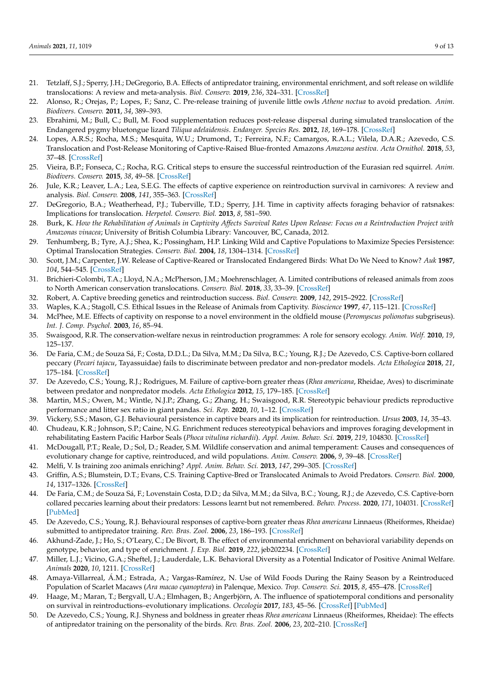- <span id="page-9-0"></span>21. Tetzlaff, S.J.; Sperry, J.H.; DeGregorio, B.A. Effects of antipredator training, environmental enrichment, and soft release on wildlife translocations: A review and meta-analysis. *Biol. Conserv.* **2019**, *236*, 324–331. [\[CrossRef\]](http://doi.org/10.1016/j.biocon.2019.05.054)
- <span id="page-9-1"></span>22. Alonso, R.; Orejas, P.; Lopes, F.; Sanz, C. Pre-release training of juvenile little owls *Athene noctua* to avoid predation. *Anim. Biodivers. Conserv.* **2011**, *34*, 389–393.
- <span id="page-9-2"></span>23. Ebrahimi, M.; Bull, C.; Bull, M. Food supplementation reduces post-release dispersal during simulated translocation of the Endangered pygmy bluetongue lizard *Tiliqua adelaidensis*. *Endanger. Species Res.* **2012**, *18*, 169–178. [\[CrossRef\]](http://doi.org/10.3354/esr00446)
- <span id="page-9-3"></span>24. Lopes, A.R.S.; Rocha, M.S.; Mesquita, W.U.; Drumond, T.; Ferreira, N.F.; Camargos, R.A.L.; Vilela, D.A.R.; Azevedo, C.S. Translocation and Post-Release Monitoring of Captive-Raised Blue-fronted Amazons *Amazona aestiva*. *Acta Ornithol.* **2018**, *53*, 37–48. [\[CrossRef\]](http://doi.org/10.3161/00016454AO2018.53.1.004)
- <span id="page-9-4"></span>25. Vieira, B.P.; Fonseca, C.; Rocha, R.G. Critical steps to ensure the successful reintroduction of the Eurasian red squirrel. *Anim. Biodivers. Conserv.* **2015**, *38*, 49–58. [\[CrossRef\]](http://doi.org/10.32800/abc.2015.38.0049)
- <span id="page-9-5"></span>26. Jule, K.R.; Leaver, L.A.; Lea, S.E.G. The effects of captive experience on reintroduction survival in carnivores: A review and analysis. *Biol. Conserv.* **2008**, *141*, 355–363. [\[CrossRef\]](http://doi.org/10.1016/j.biocon.2007.11.007)
- 27. DeGregorio, B.A.; Weatherhead, P.J.; Tuberville, T.D.; Sperry, J.H. Time in captivity affects foraging behavior of ratsnakes: Implications for translocation. *Herpetol. Conserv. Biol.* **2013**, *8*, 581–590.
- <span id="page-9-6"></span>28. Burk, K. *How the Rehabilitation of Animals in Captivity Affects Survival Rates Upon Release: Focus on a Reintroduction Project with Amazonas vinacea*; University of British Columbia Library: Vancouver, BC, Canada, 2012.
- <span id="page-9-7"></span>29. Tenhumberg, B.; Tyre, A.J.; Shea, K.; Possingham, H.P. Linking Wild and Captive Populations to Maximize Species Persistence: Optimal Translocation Strategies. *Conserv. Biol.* **2004**, *18*, 1304–1314. [\[CrossRef\]](http://doi.org/10.1111/j.1523-1739.2004.00246.x)
- 30. Scott, J.M.; Carpenter, J.W. Release of Captive-Reared or Translocated Endangered Birds: What Do We Need to Know? *Auk* **1987**, *104*, 544–545. [\[CrossRef\]](http://doi.org/10.2307/4087562)
- <span id="page-9-8"></span>31. Brichieri-Colombi, T.A.; Lloyd, N.A.; McPherson, J.M.; Moehrenschlager, A. Limited contributions of released animals from zoos to North American conservation translocations. *Conserv. Biol.* **2018**, *33*, 33–39. [\[CrossRef\]](http://doi.org/10.1111/cobi.13160)
- <span id="page-9-9"></span>32. Robert, A. Captive breeding genetics and reintroduction success. *Biol. Conserv.* **2009**, *142*, 2915–2922. [\[CrossRef\]](http://doi.org/10.1016/j.biocon.2009.07.016)
- <span id="page-9-10"></span>33. Waples, K.A.; Stagoll, C.S. Ethical Issues in the Release of Animals from Captivity. *Bioscience* **1997**, *47*, 115–121. [\[CrossRef\]](http://doi.org/10.2307/1313022)
- <span id="page-9-11"></span>34. McPhee, M.E. Effects of captivity on response to a novel environment in the oldfield mouse (*Peromyscus polionotus* subgriseus). *Int. J. Comp. Psychol.* **2003**, *16*, 85–94.
- <span id="page-9-12"></span>35. Swaisgood, R.R. The conservation-welfare nexus in reintroduction programmes: A role for sensory ecology. *Anim. Welf.* **2010**, *19*, 125–137.
- <span id="page-9-13"></span>36. De Faria, C.M.; de Souza Sá, F.; Costa, D.D.L.; Da Silva, M.M.; Da Silva, B.C.; Young, R.J.; De Azevedo, C.S. Captive-born collared peccary (*Pecari tajacu*, Tayassuidae) fails to discriminate between predator and non-predator models. *Acta Ethologica* **2018**, *21*, 175–184. [\[CrossRef\]](http://doi.org/10.1007/s10211-018-0298-3)
- <span id="page-9-14"></span>37. De Azevedo, C.S.; Young, R.J.; Rodrigues, M. Failure of captive-born greater rheas (*Rhea americana*, Rheidae, Aves) to discriminate between predator and nonpredator models. *Acta Ethologica* **2012**, *15*, 179–185. [\[CrossRef\]](http://doi.org/10.1007/s10211-012-0124-2)
- <span id="page-9-15"></span>38. Martin, M.S.; Owen, M.; Wintle, N.J.P.; Zhang, G.; Zhang, H.; Swaisgood, R.R. Stereotypic behaviour predicts reproductive performance and litter sex ratio in giant pandas. *Sci. Rep.* **2020**, *10*, 1–12. [\[CrossRef\]](http://doi.org/10.1038/s41598-020-63763-5)
- 39. Vickery, S.S.; Mason, G.J. Behavioural persistence in captive bears and its implication for reintroduction. *Ursus* **2003**, *14*, 35–43.
- <span id="page-9-16"></span>40. Chudeau, K.R.; Johnson, S.P.; Caine, N.G. Enrichment reduces stereotypical behaviors and improves foraging development in rehabilitating Eastern Pacific Harbor Seals (*Phoca vitulina richardii*). *Appl. Anim. Behav. Sci.* **2019**, *219*, 104830. [\[CrossRef\]](http://doi.org/10.1016/j.applanim.2019.07.001)
- <span id="page-9-17"></span>41. McDougall, P.T.; Reale, D.; Sol, D.; Reader, S.M. Wildlife conservation and animal temperament: Causes and consequences of evolutionary change for captive, reintroduced, and wild populations. *Anim. Conserv.* **2006**, *9*, 39–48. [\[CrossRef\]](http://doi.org/10.1111/j.1469-1795.2005.00004.x)
- <span id="page-9-18"></span>42. Melfi, V. Is training zoo animals enriching? *Appl. Anim. Behav. Sci.* **2013**, *147*, 299–305. [\[CrossRef\]](http://doi.org/10.1016/j.applanim.2013.04.011)
- <span id="page-9-19"></span>43. Griffin, A.S.; Blumstein, D.T.; Evans, C.S. Training Captive-Bred or Translocated Animals to Avoid Predators. *Conserv. Biol.* **2000**, *14*, 1317–1326. [\[CrossRef\]](http://doi.org/10.1046/j.1523-1739.2000.99326.x)
- <span id="page-9-25"></span>44. De Faria, C.M.; de Souza Sá, F.; Lovenstain Costa, D.D.; da Silva, M.M.; da Silva, B.C.; Young, R.J.; de Azevedo, C.S. Captive-born collared peccaries learning about their predators: Lessons learnt but not remembered. *Behav. Process.* **2020**, *171*, 104031. [\[CrossRef\]](http://doi.org/10.1016/j.beproc.2019.104031) [\[PubMed\]](http://www.ncbi.nlm.nih.gov/pubmed/31899275)
- <span id="page-9-20"></span>45. De Azevedo, C.S.; Young, R.J. Behavioural responses of captive-born greater rheas *Rhea americana* Linnaeus (Rheiformes, Rheidae) submitted to antipredator training. *Rev. Bras. Zool.* **2006**, *23*, 186–193. [\[CrossRef\]](http://doi.org/10.1590/S0101-81752006000100010)
- <span id="page-9-21"></span>46. Akhund-Zade, J.; Ho, S.; O'Leary, C.; De Bivort, B. The effect of environmental enrichment on behavioral variability depends on genotype, behavior, and type of enrichment. *J. Exp. Biol.* **2019**, *222*, jeb202234. [\[CrossRef\]](http://doi.org/10.1242/jeb.202234)
- <span id="page-9-22"></span>47. Miller, L.J.; Vicino, G.A.; Sheftel, J.; Lauderdale, L.K. Behavioral Diversity as a Potential Indicator of Positive Animal Welfare. *Animals* **2020**, *10*, 1211. [\[CrossRef\]](http://doi.org/10.3390/ani10071211)
- <span id="page-9-23"></span>48. Amaya-Villarreal, Á.M.; Estrada, A.; Vargas-Ramírez, N. Use of Wild Foods During the Rainy Season by a Reintroduced Population of Scarlet Macaws (*Ara macao cyanoptera*) in Palenque, Mexico. *Trop. Conserv. Sci.* **2015**, *8*, 455–478. [\[CrossRef\]](http://doi.org/10.1177/194008291500800211)
- <span id="page-9-24"></span>49. Haage, M.; Maran, T.; Bergvall, U.A.; Elmhagen, B.; Angerbjörn, A. The influence of spatiotemporal conditions and personality on survival in reintroductions–evolutionary implications. *Oecologia* **2017**, *183*, 45–56. [\[CrossRef\]](http://doi.org/10.1007/s00442-016-3740-0) [\[PubMed\]](http://www.ncbi.nlm.nih.gov/pubmed/27722799)
- 50. De Azevedo, C.S.; Young, R.J. Shyness and boldness in greater rheas *Rhea americana* Linnaeus (Rheiformes, Rheidae): The effects of antipredator training on the personality of the birds. *Rev. Bras. Zool.* **2006**, *23*, 202–210. [\[CrossRef\]](http://doi.org/10.1590/S0101-81752006000100012)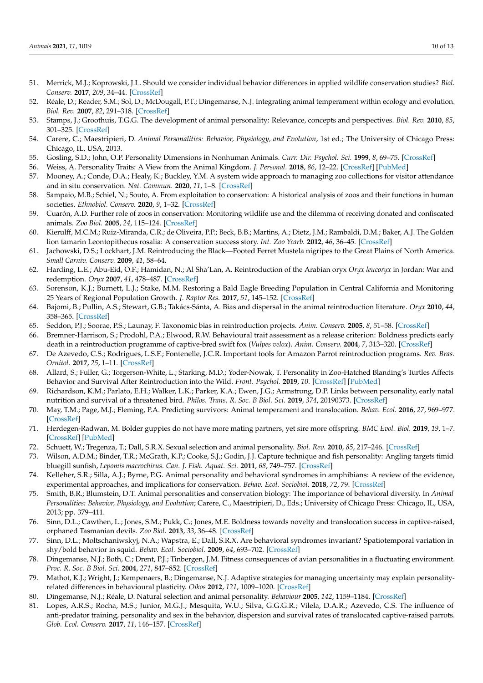- <span id="page-10-0"></span>51. Merrick, M.J.; Koprowski, J.L. Should we consider individual behavior differences in applied wildlife conservation studies? *Biol. Conserv.* **2017**, *209*, 34–44. [\[CrossRef\]](http://doi.org/10.1016/j.biocon.2017.01.021)
- <span id="page-10-1"></span>52. Réale, D.; Reader, S.M.; Sol, D.; McDougall, P.T.; Dingemanse, N.J. Integrating animal temperament within ecology and evolution. *Biol. Rev.* **2007**, *82*, 291–318. [\[CrossRef\]](http://doi.org/10.1111/j.1469-185X.2007.00010.x)
- 53. Stamps, J.; Groothuis, T.G.G. The development of animal personality: Relevance, concepts and perspectives. *Biol. Rev.* **2010**, *85*, 301–325. [\[CrossRef\]](http://doi.org/10.1111/j.1469-185X.2009.00103.x)
- <span id="page-10-2"></span>54. Carere, C.; Maestripieri, D. *Animal Personalities: Behavior, Physiology, and Evolution*, 1st ed.; The University of Chicago Press: Chicago, IL, USA, 2013.
- <span id="page-10-3"></span>55. Gosling, S.D.; John, O.P. Personality Dimensions in Nonhuman Animals. *Curr. Dir. Psychol. Sci.* **1999**, *8*, 69–75. [\[CrossRef\]](http://doi.org/10.1111/1467-8721.00017)
- <span id="page-10-4"></span>56. Weiss, A. Personality Traits: A View from the Animal Kingdom. *J. Personal.* **2018**, *86*, 12–22. [\[CrossRef\]](http://doi.org/10.1111/jopy.12310) [\[PubMed\]](http://www.ncbi.nlm.nih.gov/pubmed/28236301)
- <span id="page-10-5"></span>57. Mooney, A.; Conde, D.A.; Healy, K.; Buckley, Y.M. A system wide approach to managing zoo collections for visitor attendance and in situ conservation. *Nat. Commun.* **2020**, *11*, 1–8. [\[CrossRef\]](http://doi.org/10.1038/s41467-020-14303-2)
- 58. Sampaio, M.B.; Schiel, N.; Souto, A. From exploitation to conservation: A historical analysis of zoos and their functions in human societies. *Ethnobiol. Conserv.* **2020**, *9*, 1–32. [\[CrossRef\]](http://doi.org/10.15451/ec2020-01-9.02-1-32)
- <span id="page-10-6"></span>59. Cuarón, A.D. Further role of zoos in conservation: Monitoring wildlife use and the dilemma of receiving donated and confiscated animals. *Zoo Biol.* **2005**, *24*, 115–124. [\[CrossRef\]](http://doi.org/10.1002/zoo.20040)
- <span id="page-10-7"></span>60. Kierulff, M.C.M.; Ruiz-Miranda, C.R.; de Oliveira, P.P.; Beck, B.B.; Martins, A.; Dietz, J.M.; Rambaldi, D.M.; Baker, A.J. The Golden lion tamarin Leontopithecus rosalia: A conservation success story. *Int. Zoo Yearb.* **2012**, *46*, 36–45. [\[CrossRef\]](http://doi.org/10.1111/j.1748-1090.2012.00170.x)
- <span id="page-10-8"></span>61. Jachowski, D.S.; Lockhart, J.M. Reintroducing the Black—Footed Ferret Mustela nigripes to the Great Plains of North America. *Small Carniv. Conserv.* **2009**, *41*, 58–64.
- <span id="page-10-9"></span>62. Harding, L.E.; Abu-Eid, O.F.; Hamidan, N.; Al Sha'Lan, A. Reintroduction of the Arabian oryx *Oryx leucoryx* in Jordan: War and redemption. *Oryx* **2007**, *41*, 478–487. [\[CrossRef\]](http://doi.org/10.1017/S0030605307005029)
- <span id="page-10-10"></span>63. Sorenson, K.J.; Burnett, L.J.; Stake, M.M. Restoring a Bald Eagle Breeding Population in Central California and Monitoring 25 Years of Regional Population Growth. *J. Raptor Res.* **2017**, *51*, 145–152. [\[CrossRef\]](http://doi.org/10.3356/JRR-16-35.1)
- <span id="page-10-11"></span>64. Bajomi, B.; Pullin, A.S.; Stewart, G.B.; Takács-Sánta, A. Bias and dispersal in the animal reintroduction literature. *Oryx* **2010**, *44*, 358–365. [\[CrossRef\]](http://doi.org/10.1017/S0030605310000281)
- <span id="page-10-12"></span>65. Seddon, P.J.; Soorae, P.S.; Launay, F. Taxonomic bias in reintroduction projects. *Anim. Conserv.* **2005**, *8*, 51–58. [\[CrossRef\]](http://doi.org/10.1017/S1367943004001799)
- <span id="page-10-13"></span>66. Bremner-Harrison, S.; Prodohl, P.A.; Elwood, R.W. Behavioural trait assessment as a release criterion: Boldness predicts early death in a reintroduction programme of captive-bred swift fox (*Vulpes velox*). *Anim. Conserv.* **2004**, *7*, 313–320. [\[CrossRef\]](http://doi.org/10.1017/S1367943004001490)
- <span id="page-10-14"></span>67. De Azevedo, C.S.; Rodrigues, L.S.F.; Fontenelle, J.C.R. Important tools for Amazon Parrot reintroduction programs. *Rev. Bras. Ornitol.* **2017**, *25*, 1–11. [\[CrossRef\]](http://doi.org/10.1007/BF03544370)
- <span id="page-10-16"></span>68. Allard, S.; Fuller, G.; Torgerson-White, L.; Starking, M.D.; Yoder-Nowak, T. Personality in Zoo-Hatched Blanding's Turtles Affects Behavior and Survival After Reintroduction into the Wild. *Front. Psychol.* **2019**, *10*. [\[CrossRef\]](http://doi.org/10.3389/fpsyg.2019.02324) [\[PubMed\]](http://www.ncbi.nlm.nih.gov/pubmed/31681114)
- <span id="page-10-15"></span>69. Richardson, K.M.; Parlato, E.H.; Walker, L.K.; Parker, K.A.; Ewen, J.G.; Armstrong, D.P. Links between personality, early natal nutrition and survival of a threatened bird. *Philos. Trans. R. Soc. B Biol. Sci.* **2019**, *374*, 20190373. [\[CrossRef\]](http://doi.org/10.1098/rstb.2019.0373)
- <span id="page-10-17"></span>70. May, T.M.; Page, M.J.; Fleming, P.A. Predicting survivors: Animal temperament and translocation. *Behav. Ecol.* **2016**, *27*, 969–977. [\[CrossRef\]](http://doi.org/10.1093/beheco/arv242)
- <span id="page-10-18"></span>71. Herdegen-Radwan, M. Bolder guppies do not have more mating partners, yet sire more offspring. *BMC Evol. Biol.* **2019**, *19*, 1–7. [\[CrossRef\]](http://doi.org/10.1186/s12862-019-1539-4) [\[PubMed\]](http://www.ncbi.nlm.nih.gov/pubmed/31726971)
- <span id="page-10-19"></span>72. Schuett, W.; Tregenza, T.; Dall, S.R.X. Sexual selection and animal personality. *Biol. Rev.* **2010**, *85*, 217–246. [\[CrossRef\]](http://doi.org/10.1111/j.1469-185X.2009.00101.x)
- <span id="page-10-20"></span>73. Wilson, A.D.M.; Binder, T.R.; McGrath, K.P.; Cooke, S.J.; Godin, J.J. Capture technique and fish personality: Angling targets timid bluegill sunfish, *Lepomis macrochirus*. *Can. J. Fish. Aquat. Sci.* **2011**, *68*, 749–757. [\[CrossRef\]](http://doi.org/10.1139/f2011-019)
- 74. Kelleher, S.R.; Silla, A.J.; Byrne, P.G. Animal personality and behavioral syndromes in amphibians: A review of the evidence, experimental approaches, and implications for conservation. *Behav. Ecol. Sociobiol.* **2018**, *72*, 79. [\[CrossRef\]](http://doi.org/10.1007/s00265-018-2493-7)
- <span id="page-10-21"></span>75. Smith, B.R.; Blumstein, D.T. Animal personalities and conservation biology: The importance of behavioral diversity. In *Animal Personalities: Behavior, Physiology, and Evolution*; Carere, C., Maestripieri, D., Eds.; University of Chicago Press: Chicago, IL, USA, 2013; pp. 379–411.
- <span id="page-10-22"></span>76. Sinn, D.L.; Cawthen, L.; Jones, S.M.; Pukk, C.; Jones, M.E. Boldness towards novelty and translocation success in captive-raised, orphaned Tasmanian devils. *Zoo Biol.* **2013**, *33*, 36–48. [\[CrossRef\]](http://doi.org/10.1002/zoo.21108)
- <span id="page-10-23"></span>77. Sinn, D.L.; Moltschaniwskyj, N.A.; Wapstra, E.; Dall, S.R.X. Are behavioral syndromes invariant? Spatiotemporal variation in shy/bold behavior in squid. *Behav. Ecol. Sociobiol.* **2009**, *64*, 693–702. [\[CrossRef\]](http://doi.org/10.1007/s00265-009-0887-2)
- 78. Dingemanse, N.J.; Both, C.; Drent, P.J.; Tinbergen, J.M. Fitness consequences of avian personalities in a fluctuating environment. *Proc. R. Soc. B Biol. Sci.* **2004**, *271*, 847–852. [\[CrossRef\]](http://doi.org/10.1098/rspb.2004.2680)
- <span id="page-10-26"></span>79. Mathot, K.J.; Wright, J.; Kempenaers, B.; Dingemanse, N.J. Adaptive strategies for managing uncertainty may explain personalityrelated differences in behavioural plasticity. *Oikos* **2012**, *121*, 1009–1020. [\[CrossRef\]](http://doi.org/10.1111/j.1600-0706.2012.20339.x)
- <span id="page-10-24"></span>80. Dingemanse, N.J.; Réale, D. Natural selection and animal personality. *Behaviour* **2005**, *142*, 1159–1184. [\[CrossRef\]](http://doi.org/10.1163/156853905774539445)
- <span id="page-10-25"></span>81. Lopes, A.R.S.; Rocha, M.S.; Junior, M.G.J.; Mesquita, W.U.; Silva, G.G.G.R.; Vilela, D.A.R.; Azevedo, C.S. The influence of anti-predator training, personality and sex in the behavior, dispersion and survival rates of translocated captive-raised parrots. *Glob. Ecol. Conserv.* **2017**, *11*, 146–157. [\[CrossRef\]](http://doi.org/10.1016/j.gecco.2017.05.001)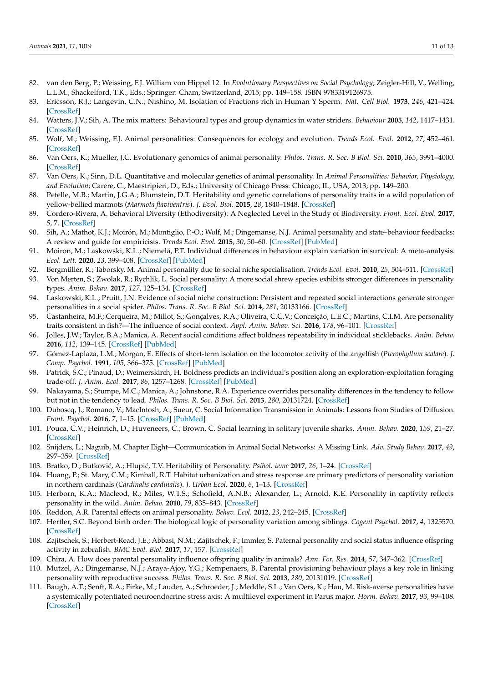- <span id="page-11-0"></span>82. van den Berg, P.; Weissing, F.J. William von Hippel 12. In *Evolutionary Perspectives on Social Psychology*; Zeigler-Hill, V., Welling, L.L.M., Shackelford, T.K., Eds.; Springer: Cham, Switzerland, 2015; pp. 149–158. ISBN 9783319126975.
- <span id="page-11-1"></span>83. Ericsson, R.J.; Langevin, C.N.; Nishino, M. Isolation of Fractions rich in Human Y Sperm. *Nat. Cell Biol.* **1973**, *246*, 421–424. [\[CrossRef\]](http://doi.org/10.1038/246421a0)
- <span id="page-11-2"></span>84. Watters, J.V.; Sih, A. The mix matters: Behavioural types and group dynamics in water striders. *Behaviour* **2005**, *142*, 1417–1431. [\[CrossRef\]](http://doi.org/10.1163/156853905774539454)
- <span id="page-11-3"></span>85. Wolf, M.; Weissing, F.J. Animal personalities: Consequences for ecology and evolution. *Trends Ecol. Evol.* **2012**, *27*, 452–461. [\[CrossRef\]](http://doi.org/10.1016/j.tree.2012.05.001)
- <span id="page-11-4"></span>86. Van Oers, K.; Mueller, J.C. Evolutionary genomics of animal personality. *Philos. Trans. R. Soc. B Biol. Sci.* **2010**, *365*, 3991–4000. [\[CrossRef\]](http://doi.org/10.1098/rstb.2010.0178)
- 87. Van Oers, K.; Sinn, D.L. Quantitative and molecular genetics of animal personality. In *Animal Personalities: Behavior, Physiology, and Evolution*; Carere, C., Maestripieri, D., Eds.; University of Chicago Press: Chicago, IL, USA, 2013; pp. 149–200.
- <span id="page-11-5"></span>88. Petelle, M.B.; Martin, J.G.A.; Blumstein, D.T. Heritability and genetic correlations of personality traits in a wild population of yellow-bellied marmots (*Marmota flaviventris*). *J. Evol. Biol.* **2015**, *28*, 1840–1848. [\[CrossRef\]](http://doi.org/10.1111/jeb.12700)
- <span id="page-11-6"></span>89. Cordero-Rivera, A. Behavioral Diversity (Ethodiversity): A Neglected Level in the Study of Biodiversity. *Front. Ecol. Evol.* **2017**, *5*, 7. [\[CrossRef\]](http://doi.org/10.3389/fevo.2017.00007)
- <span id="page-11-7"></span>90. Sih, A.; Mathot, K.J.; Moirón, M.; Montiglio, P.-O.; Wolf, M.; Dingemanse, N.J. Animal personality and state–behaviour feedbacks: A review and guide for empiricists. *Trends Ecol. Evol.* **2015**, *30*, 50–60. [\[CrossRef\]](http://doi.org/10.1016/j.tree.2014.11.004) [\[PubMed\]](http://www.ncbi.nlm.nih.gov/pubmed/25498413)
- <span id="page-11-8"></span>91. Moiron, M.; Laskowski, K.L.; Niemelä, P.T. Individual differences in behaviour explain variation in survival: A meta-analysis. *Ecol. Lett.* **2020**, *23*, 399–408. [\[CrossRef\]](http://doi.org/10.1111/ele.13438) [\[PubMed\]](http://www.ncbi.nlm.nih.gov/pubmed/31811699)
- <span id="page-11-9"></span>92. Bergmüller, R.; Taborsky, M. Animal personality due to social niche specialisation. *Trends Ecol. Evol.* **2010**, *25*, 504–511. [\[CrossRef\]](http://doi.org/10.1016/j.tree.2010.06.012)
- <span id="page-11-10"></span>93. Von Merten, S.; Zwolak, R.; Rychlik, L. Social personality: A more social shrew species exhibits stronger differences in personality types. *Anim. Behav.* **2017**, *127*, 125–134. [\[CrossRef\]](http://doi.org/10.1016/j.anbehav.2017.02.021)
- <span id="page-11-11"></span>94. Laskowski, K.L.; Pruitt, J.N. Evidence of social niche construction: Persistent and repeated social interactions generate stronger personalities in a social spider. *Philos. Trans. R. Soc. B Biol. Sci.* **2014**, *281*, 20133166. [\[CrossRef\]](http://doi.org/10.1098/rspb.2013.3166)
- <span id="page-11-12"></span>95. Castanheira, M.F.; Cerqueira, M.; Millot, S.; Gonçalves, R.A.; Oliveira, C.C.V.; Conceição, L.E.C.; Martins, C.I.M. Are personality traits consistent in fish?—The influence of social context. *Appl. Anim. Behav. Sci.* **2016**, *178*, 96–101. [\[CrossRef\]](http://doi.org/10.1016/j.applanim.2016.02.004)
- <span id="page-11-13"></span>96. Jolles, J.W.; Taylor, B.A.; Manica, A. Recent social conditions affect boldness repeatability in individual sticklebacks. *Anim. Behav.* **2016**, *112*, 139–145. [\[CrossRef\]](http://doi.org/10.1016/j.anbehav.2015.12.010) [\[PubMed\]](http://www.ncbi.nlm.nih.gov/pubmed/26949265)
- <span id="page-11-14"></span>97. Gómez-Laplaza, L.M.; Morgan, E. Effects of short-term isolation on the locomotor activity of the angelfish (*Pterophyllum scalare*). *J. Comp. Psychol.* **1991**, *105*, 366–375. [\[CrossRef\]](http://doi.org/10.1037/0735-7036.105.4.366) [\[PubMed\]](http://www.ncbi.nlm.nih.gov/pubmed/1778069)
- <span id="page-11-15"></span>98. Patrick, S.C.; Pinaud, D.; Weimerskirch, H. Boldness predicts an individual's position along an exploration-exploitation foraging trade-off. *J. Anim. Ecol.* **2017**, *86*, 1257–1268. [\[CrossRef\]](http://doi.org/10.1111/1365-2656.12724) [\[PubMed\]](http://www.ncbi.nlm.nih.gov/pubmed/28646599)
- <span id="page-11-16"></span>99. Nakayama, S.; Stumpe, M.C.; Manica, A.; Johnstone, R.A. Experience overrides personality differences in the tendency to follow but not in the tendency to lead. *Philos. Trans. R. Soc. B Biol. Sci.* **2013**, *280*, 20131724. [\[CrossRef\]](http://doi.org/10.1098/rspb.2013.1724)
- <span id="page-11-17"></span>100. Duboscq, J.; Romano, V.; MacIntosh, A.; Sueur, C. Social Information Transmission in Animals: Lessons from Studies of Diffusion. *Front. Psychol.* **2016**, *7*, 1–15. [\[CrossRef\]](http://doi.org/10.3389/fpsyg.2016.01147) [\[PubMed\]](http://www.ncbi.nlm.nih.gov/pubmed/27540368)
- <span id="page-11-18"></span>101. Pouca, C.V.; Heinrich, D.; Huveneers, C.; Brown, C. Social learning in solitary juvenile sharks. *Anim. Behav.* **2020**, *159*, 21–27. [\[CrossRef\]](http://doi.org/10.1016/j.anbehav.2019.10.017)
- <span id="page-11-19"></span>102. Snijders, L.; Naguib, M. Chapter Eight—Communication in Animal Social Networks: A Missing Link. *Adv. Study Behav.* **2017**, *49*, 297–359. [\[CrossRef\]](http://doi.org/10.1016/bs.asb.2017.02.004)
- <span id="page-11-20"></span>103. Bratko, D.; Butkovi´c, A.; Hlupi´c, T.V. Heritability of Personality. *Psihol. teme* **2017**, *26*, 1–24. [\[CrossRef\]](http://doi.org/10.31820/pt.26.1.1)
- <span id="page-11-21"></span>104. Huang, P.; St. Mary, C.M.; Kimball, R.T. Habitat urbanization and stress response are primary predictors of personality variation in northern cardinals (*Cardinalis cardinalis*). *J. Urban Ecol.* **2020**, *6*, 1–13. [\[CrossRef\]](http://doi.org/10.1093/jue/juaa015)
- <span id="page-11-22"></span>105. Herborn, K.A.; Macleod, R.; Miles, W.T.S.; Schofield, A.N.B.; Alexander, L.; Arnold, K.E. Personality in captivity reflects personality in the wild. *Anim. Behav.* **2010**, *79*, 835–843. [\[CrossRef\]](http://doi.org/10.1016/j.anbehav.2009.12.026)
- <span id="page-11-23"></span>106. Reddon, A.R. Parental effects on animal personality. *Behav. Ecol.* **2012**, *23*, 242–245. [\[CrossRef\]](http://doi.org/10.1093/beheco/arr210)
- <span id="page-11-24"></span>107. Hertler, S.C. Beyond birth order: The biological logic of personality variation among siblings. *Cogent Psychol.* **2017**, *4*, 1325570. [\[CrossRef\]](http://doi.org/10.1080/23311908.2017.1325570)
- <span id="page-11-25"></span>108. Zajitschek, S.; Herbert-Read, J.E.; Abbasi, N.M.; Zajitschek, F.; Immler, S. Paternal personality and social status influence offspring activity in zebrafish. *BMC Evol. Biol.* **2017**, *17*, 157. [\[CrossRef\]](http://doi.org/10.1186/s12862-017-1005-0)
- <span id="page-11-26"></span>109. Chira, A. How does parental personality influence offspring quality in animals? *Ann. For. Res.* **2014**, *57*, 347–362. [\[CrossRef\]](http://doi.org/10.15287/afr.2014.233)
- <span id="page-11-27"></span>110. Mutzel, A.; Dingemanse, N.J.; Araya-Ajoy, Y.G.; Kempenaers, B. Parental provisioning behaviour plays a key role in linking personality with reproductive success. *Philos. Trans. R. Soc. B Biol. Sci.* **2013**, *280*, 20131019. [\[CrossRef\]](http://doi.org/10.1098/rspb.2013.1019)
- <span id="page-11-28"></span>111. Baugh, A.T.; Senft, R.A.; Firke, M.; Lauder, A.; Schroeder, J.; Meddle, S.L.; Van Oers, K.; Hau, M. Risk-averse personalities have a systemically potentiated neuroendocrine stress axis: A multilevel experiment in Parus major. *Horm. Behav.* **2017**, *93*, 99–108. [\[CrossRef\]](http://doi.org/10.1016/j.yhbeh.2017.05.011)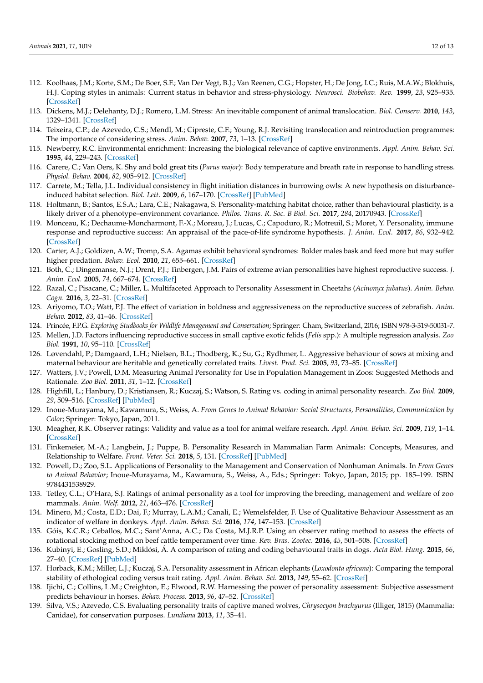- <span id="page-12-3"></span>112. Koolhaas, J.M.; Korte, S.M.; De Boer, S.F.; Van Der Vegt, B.J.; Van Reenen, C.G.; Hopster, H.; De Jong, I.C.; Ruis, M.A.W.; Blokhuis, H.J. Coping styles in animals: Current status in behavior and stress-physiology. *Neurosci. Biobehav. Rev.* **1999**, *23*, 925–935. [\[CrossRef\]](http://doi.org/10.1016/S0149-7634(99)00026-3)
- 113. Dickens, M.J.; Delehanty, D.J.; Romero, L.M. Stress: An inevitable component of animal translocation. *Biol. Conserv.* **2010**, *143*, 1329–1341. [\[CrossRef\]](http://doi.org/10.1016/j.biocon.2010.02.032)
- <span id="page-12-0"></span>114. Teixeira, C.P.; de Azevedo, C.S.; Mendl, M.; Cipreste, C.F.; Young, R.J. Revisiting translocation and reintroduction programmes: The importance of considering stress. *Anim. Behav.* **2007**, *73*, 1–13. [\[CrossRef\]](http://doi.org/10.1016/j.anbehav.2006.06.002)
- <span id="page-12-1"></span>115. Newberry, R.C. Environmental enrichment: Increasing the biological relevance of captive environments. *Appl. Anim. Behav. Sci.* **1995**, *44*, 229–243. [\[CrossRef\]](http://doi.org/10.1016/0168-1591(95)00616-Z)
- <span id="page-12-2"></span>116. Carere, C.; Van Oers, K. Shy and bold great tits (*Parus major*): Body temperature and breath rate in response to handling stress. *Physiol. Behav.* **2004**, *82*, 905–912. [\[CrossRef\]](http://doi.org/10.1016/S0031-9384(04)00312-9)
- <span id="page-12-4"></span>117. Carrete, M.; Tella, J.L. Individual consistency in flight initiation distances in burrowing owls: A new hypothesis on disturbanceinduced habitat selection. *Biol. Lett.* **2009**, *6*, 167–170. [\[CrossRef\]](http://doi.org/10.1098/rsbl.2009.0739) [\[PubMed\]](http://www.ncbi.nlm.nih.gov/pubmed/19864278)
- <span id="page-12-5"></span>118. Holtmann, B.; Santos, E.S.A.; Lara, C.E.; Nakagawa, S. Personality-matching habitat choice, rather than behavioural plasticity, is a likely driver of a phenotype–environment covariance. *Philos. Trans. R. Soc. B Biol. Sci.* **2017**, *284*, 20170943. [\[CrossRef\]](http://doi.org/10.1098/rspb.2017.0943)
- <span id="page-12-6"></span>119. Monceau, K.; Dechaume-Moncharmont, F.-X.; Moreau, J.; Lucas, C.; Capoduro, R.; Motreuil, S.; Moret, Y. Personality, immune response and reproductive success: An appraisal of the pace-of-life syndrome hypothesis. *J. Anim. Ecol.* **2017**, *86*, 932–942. [\[CrossRef\]](http://doi.org/10.1111/1365-2656.12684)
- 120. Carter, A.J.; Goldizen, A.W.; Tromp, S.A. Agamas exhibit behavioral syndromes: Bolder males bask and feed more but may suffer higher predation. *Behav. Ecol.* **2010**, *21*, 655–661. [\[CrossRef\]](http://doi.org/10.1093/beheco/arq036)
- <span id="page-12-7"></span>121. Both, C.; Dingemanse, N.J.; Drent, P.J.; Tinbergen, J.M. Pairs of extreme avian personalities have highest reproductive success. *J. Anim. Ecol.* **2005**, *74*, 667–674. [\[CrossRef\]](http://doi.org/10.1111/j.1365-2656.2005.00962.x)
- <span id="page-12-8"></span>122. Razal, C.; Pisacane, C.; Miller, L. Multifaceted Approach to Personality Assessment in Cheetahs (*Acinonyx jubatus*). *Anim. Behav. Cogn.* **2016**, *3*, 22–31. [\[CrossRef\]](http://doi.org/10.12966/abc.02.02.2016)
- <span id="page-12-9"></span>123. Ariyomo, T.O.; Watt, P.J. The effect of variation in boldness and aggressiveness on the reproductive success of zebrafish. *Anim. Behav.* **2012**, *83*, 41–46. [\[CrossRef\]](http://doi.org/10.1016/j.anbehav.2011.10.004)
- <span id="page-12-10"></span>124. Princée, F.P.G. *Exploring Studbooks for Wildlife Management and Conservation*; Springer: Cham, Switzerland, 2016; ISBN 978-3-319-50031-7.
- <span id="page-12-11"></span>125. Mellen, J.D. Factors influencing reproductive success in small captive exotic felids (*Felis* spp.): A multiple regression analysis. *Zoo Biol.* **1991**, *10*, 95–110. [\[CrossRef\]](http://doi.org/10.1002/zoo.1430100202)
- <span id="page-12-12"></span>126. Løvendahl, P.; Damgaard, L.H.; Nielsen, B.L.; Thodberg, K.; Su, G.; Rydhmer, L. Aggressive behaviour of sows at mixing and maternal behaviour are heritable and genetically correlated traits. *Livest. Prod. Sci.* **2005**, *93*, 73–85. [\[CrossRef\]](http://doi.org/10.1016/j.livprodsci.2004.11.008)
- <span id="page-12-13"></span>127. Watters, J.V.; Powell, D.M. Measuring Animal Personality for Use in Population Management in Zoos: Suggested Methods and Rationale. *Zoo Biol.* **2011**, *31*, 1–12. [\[CrossRef\]](http://doi.org/10.1002/zoo.20379)
- <span id="page-12-14"></span>128. Highfill, L.; Hanbury, D.; Kristiansen, R.; Kuczaj, S.; Watson, S. Rating vs. coding in animal personality research. *Zoo Biol.* **2009**, *29*, 509–516. [\[CrossRef\]](http://doi.org/10.1002/zoo.20279) [\[PubMed\]](http://www.ncbi.nlm.nih.gov/pubmed/19827135)
- <span id="page-12-15"></span>129. Inoue-Murayama, M.; Kawamura, S.; Weiss, A. *From Genes to Animal Behavior: Social Structures, Personalities, Communication by Color*; Springer: Tokyo, Japan, 2011.
- <span id="page-12-16"></span>130. Meagher, R.K. Observer ratings: Validity and value as a tool for animal welfare research. *Appl. Anim. Behav. Sci.* **2009**, *119*, 1–14. [\[CrossRef\]](http://doi.org/10.1016/j.applanim.2009.02.026)
- <span id="page-12-17"></span>131. Finkemeier, M.-A.; Langbein, J.; Puppe, B. Personality Research in Mammalian Farm Animals: Concepts, Measures, and Relationship to Welfare. *Front. Veter. Sci.* **2018**, *5*, 131. [\[CrossRef\]](http://doi.org/10.3389/fvets.2018.00131) [\[PubMed\]](http://www.ncbi.nlm.nih.gov/pubmed/30003083)
- <span id="page-12-18"></span>132. Powell, D.; Zoo, S.L. Applications of Personality to the Management and Conservation of Nonhuman Animals. In *From Genes to Animal Behavior*; Inoue-Murayama, M., Kawamura, S., Weiss, A., Eds.; Springer: Tokyo, Japan, 2015; pp. 185–199. ISBN 9784431538929.
- <span id="page-12-19"></span>133. Tetley, C.L.; O'Hara, S.J. Ratings of animal personality as a tool for improving the breeding, management and welfare of zoo mammals. *Anim. Welf.* **2012**, *21*, 463–476. [\[CrossRef\]](http://doi.org/10.7120/09627286.21.4.463)
- <span id="page-12-20"></span>134. Minero, M.; Costa, E.D.; Dai, F.; Murray, L.A.M.; Canali, E.; Wemelsfelder, F. Use of Qualitative Behaviour Assessment as an indicator of welfare in donkeys. *Appl. Anim. Behav. Sci.* **2016**, *174*, 147–153. [\[CrossRef\]](http://doi.org/10.1016/j.applanim.2015.10.010)
- <span id="page-12-21"></span>135. Góis, K.C.R.; Ceballos, M.C.; Sant'Anna, A.C.; Da Costa, M.J.R.P. Using an observer rating method to assess the effects of rotational stocking method on beef cattle temperament over time. *Rev. Bras. Zootec.* **2016**, *45*, 501–508. [\[CrossRef\]](http://doi.org/10.1590/s1806-92902016000900001)
- 136. Kubinyi, E.; Gosling, S.D.; Miklósi, Á. A comparison of rating and coding behavioural traits in dogs. *Acta Biol. Hung.* **2015**, *66*, 27–40. [\[CrossRef\]](http://doi.org/10.1556/ABiol.66.2015.1.3) [\[PubMed\]](http://www.ncbi.nlm.nih.gov/pubmed/25740436)
- <span id="page-12-22"></span>137. Horback, K.M.; Miller, L.J.; Kuczaj, S.A. Personality assessment in African elephants (*Loxodonta africana*): Comparing the temporal stability of ethological coding versus trait rating. *Appl. Anim. Behav. Sci.* **2013**, *149*, 55–62. [\[CrossRef\]](http://doi.org/10.1016/j.applanim.2013.09.009)
- <span id="page-12-23"></span>138. Ijichi, C.; Collins, L.M.; Creighton, E.; Elwood, R.W. Harnessing the power of personality assessment: Subjective assessment predicts behaviour in horses. *Behav. Process.* **2013**, *96*, 47–52. [\[CrossRef\]](http://doi.org/10.1016/j.beproc.2013.02.017)
- <span id="page-12-24"></span>139. Silva, V.S.; Azevedo, C.S. Evaluating personality traits of captive maned wolves, *Chrysocyon brachyurus* (Illiger, 1815) (Mammalia: Canidae), for conservation purposes. *Lundiana* **2013**, *11*, 35–41.